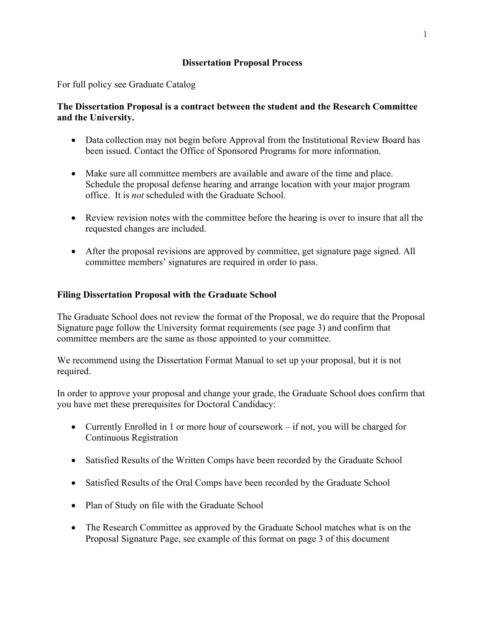# **Dissertation Proposal Process**

For full policy see Graduate Catalog

# **The Dissertation Proposal is a contract between the student and the Research Committee and the University.**

- Data collection may not begin before Approval from the Institutional Review Board has been issued. Contact the Office of Sponsored Programs for more information.
- Make sure all committee members are available and aware of the time and place. Schedule the proposal defense hearing and arrange location with your major program office. It is *not* scheduled with the Graduate School.
- Review revision notes with the committee before the hearing is over to insure that all the requested changes are included.
- After the proposal revisions are approved by committee, get signature page signed. All committee members' signatures are required in order to pass.

# **Filing Dissertation Proposal with the Graduate School**

The Graduate School does not review the format of the Proposal, we do require that the Proposal Signature page follow the University format requirements (see page 3) and confirm that committee members are the same as those appointed to your committee.

We recommend using the Dissertation Format Manual to set up your proposal, but it is not required.

In order to approve your proposal and change your grade, the Graduate School does confirm that you have met these prerequisites for Doctoral Candidacy:

- Currently Enrolled in 1 or more hour of coursework if not, you will be charged for Continuous Registration
- Satisfied Results of the Written Comps have been recorded by the Graduate School
- Satisfied Results of the Oral Comps have been recorded by the Graduate School
- Plan of Study on file with the Graduate School
- The Research Committee as approved by the Graduate School matches what is on the Proposal Signature Page, see example of this format on page 3 of this document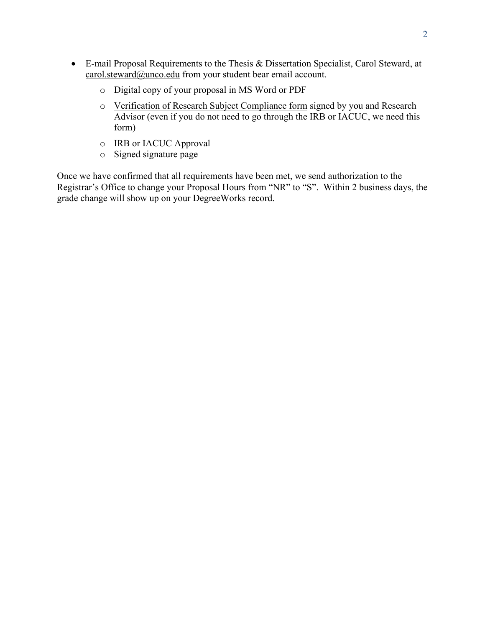- E-mail Proposal Requirements to the Thesis & Dissertation Specialist, Carol Steward, at carol.steward@unco.edu from your student bear email account.
	- o Digital copy of your proposal in MS Word or PDF
	- o Verification of Research Subject Compliance form signed by you and Research Advisor (even if you do not need to go through the IRB or IACUC, we need this form)
	- o IRB or IACUC Approval
	- o Signed signature page

Once we have confirmed that all requirements have been met, we send authorization to the Registrar's Office to change your Proposal Hours from "NR" to "S". Within 2 business days, the grade change will show up on your DegreeWorks record.